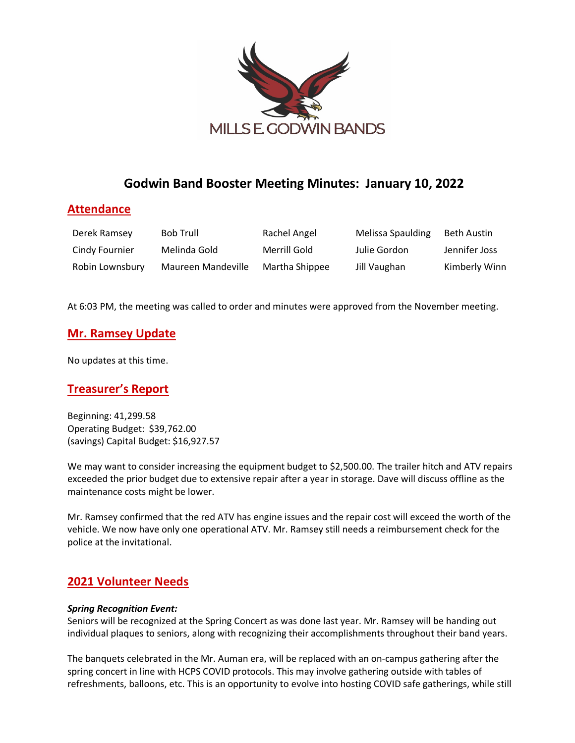

# **Godwin Band Booster Meeting Minutes: January 10, 2022**

## **Attendance**

| Derek Ramsey    | <b>Bob Trull</b>   | Rachel Angel   | Melissa Spaulding | Beth Austin   |
|-----------------|--------------------|----------------|-------------------|---------------|
| Cindy Fournier  | Melinda Gold       | Merrill Gold   | Julie Gordon      | Jennifer Joss |
| Robin Lownsbury | Maureen Mandeville | Martha Shippee | Jill Vaughan      | Kimberly Winn |

At 6:03 PM, the meeting was called to order and minutes were approved from the November meeting.

## **Mr. Ramsey Update**

No updates at this time.

# **Treasurer's Report**

Beginning: 41,299.58 Operating Budget: \$39,762.00 (savings) Capital Budget: \$16,927.57

We may want to consider increasing the equipment budget to \$2,500.00. The trailer hitch and ATV repairs exceeded the prior budget due to extensive repair after a year in storage. Dave will discuss offline as the maintenance costs might be lower.

Mr. Ramsey confirmed that the red ATV has engine issues and the repair cost will exceed the worth of the vehicle. We now have only one operational ATV. Mr. Ramsey still needs a reimbursement check for the police at the invitational.

# **2021 Volunteer Needs**

#### *Spring Recognition Event:*

Seniors will be recognized at the Spring Concert as was done last year. Mr. Ramsey will be handing out individual plaques to seniors, along with recognizing their accomplishments throughout their band years.

The banquets celebrated in the Mr. Auman era, will be replaced with an on-campus gathering after the spring concert in line with HCPS COVID protocols. This may involve gathering outside with tables of refreshments, balloons, etc. This is an opportunity to evolve into hosting COVID safe gatherings, while still